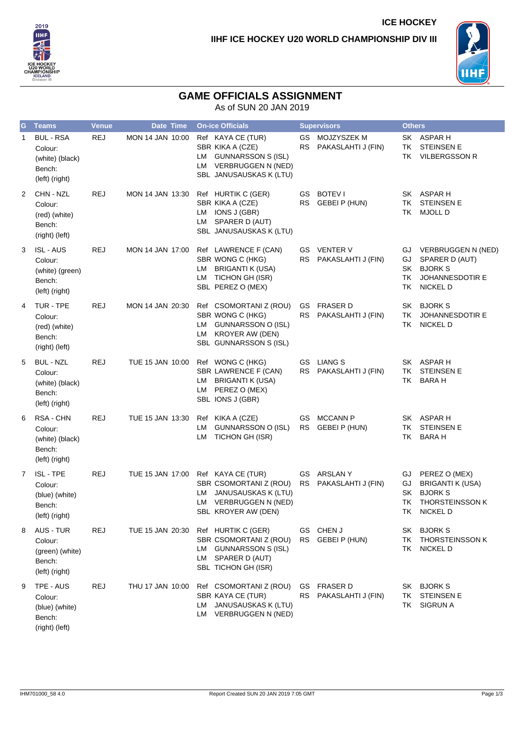



**ICE HOCKEY**

## **GAME OFFICIALS ASSIGNMENT**

As of SUN 20 JAN 2019

| G            | <b>Teams</b>                                                               | <b>Venue</b> | <b>Date Time</b> |          | <b>On-ice Officials</b>                                                                                             |                 | <b>Supervisors</b>                       | <b>Others</b>              |                                                                                                         |
|--------------|----------------------------------------------------------------------------|--------------|------------------|----------|---------------------------------------------------------------------------------------------------------------------|-----------------|------------------------------------------|----------------------------|---------------------------------------------------------------------------------------------------------|
| $\mathbf{1}$ | <b>BUL - RSA</b><br>Colour:<br>(white) (black)<br>Bench:<br>(left) (right) | <b>REJ</b>   | MON 14 JAN 10:00 |          | Ref KAYA CE (TUR)<br>SBR KIKA A (CZE)<br>LM GUNNARSSON S (ISL)<br>LM VERBRUGGEN N (NED)<br>SBL JANUSAUSKAS K (LTU)  | GS.<br>RS       | MOJZYSZEK M<br>PAKASLAHTI J (FIN)        | ТK<br>TK                   | SK ASPAR H<br><b>STEINSEN E</b><br><b>VILBERGSSON R</b>                                                 |
| 2            | CHN - NZL<br>Colour:<br>(red) (white)<br>Bench:<br>(right) (left)          | <b>REJ</b>   | MON 14 JAN 13:30 |          | Ref HURTIK C (GER)<br>SBR KIKA A (CZE)<br>LM IONS J (GBR)<br>LM SPARER D (AUT)<br>SBL JANUSAUSKAS K (LTU)           |                 | GS BOTEVI<br>RS GEBEI P (HUN)            | ΤK<br>TK                   | SK ASPAR H<br><b>STEINSEN E</b><br><b>MJOLL D</b>                                                       |
| 3            | <b>ISL - AUS</b><br>Colour:<br>(white) (green)<br>Bench:<br>(left) (right) | <b>REJ</b>   | MON 14 JAN 17:00 |          | Ref LAWRENCE F (CAN)<br>SBR WONG C (HKG)<br>LM BRIGANTI K (USA)<br>LM TICHON GH (ISR)<br>SBL PEREZ O (MEX)          | RS              | <b>GS</b> VENTER V<br>PAKASLAHTI J (FIN) | GJ<br>GJ<br>SK<br>TK<br>TK | <b>VERBRUGGEN N (NED)</b><br>SPARER D (AUT)<br><b>BJORK S</b><br>JOHANNESDOTIR E<br><b>NICKEL D</b>     |
| 4            | TUR - TPE<br>Colour:<br>(red) (white)<br>Bench:<br>(right) (left)          | <b>REJ</b>   | MON 14 JAN 20:30 |          | Ref CSOMORTANI Z (ROU)<br>SBR WONG C (HKG)<br>LM GUNNARSSON O (ISL)<br>LM KROYER AW (DEN)<br>SBL GUNNARSSON S (ISL) | GS<br>RS        | <b>FRASER D</b><br>PAKASLAHTI J (FIN)    | ТK<br>TK                   | SK BJORKS<br>JOHANNESDOTIR E<br><b>NICKEL D</b>                                                         |
| 5            | <b>BUL - NZL</b><br>Colour:<br>(white) (black)<br>Bench:<br>(left) (right) | <b>REJ</b>   | TUE 15 JAN 10:00 | LM       | Ref WONG C (HKG)<br>SBR LAWRENCE F (CAN)<br>LM BRIGANTI K (USA)<br>PEREZ O (MEX)<br>SBL IONS J (GBR)                |                 | GS LIANG S<br>RS PAKASLAHTI J (FIN)      | TK<br>TK                   | SK ASPAR H<br><b>STEINSEN E</b><br><b>BARA H</b>                                                        |
| 6            | RSA - CHN<br>Colour:<br>(white) (black)<br>Bench:<br>(left) (right)        | <b>REJ</b>   | TUE 15 JAN 13:30 | LM<br>LM | Ref KIKA A (CZE)<br>GUNNARSSON O (ISL)<br>TICHON GH (ISR)                                                           | GS              | <b>MCCANN P</b><br>RS GEBEI P (HUN)      | TK<br>TK                   | SK ASPAR H<br><b>STEINSEN E</b><br><b>BARA H</b>                                                        |
| 7            | <b>ISL - TPE</b><br>Colour:<br>(blue) (white)<br>Bench:<br>(left) (right)  | <b>REJ</b>   | TUE 15 JAN 17:00 | LM       | Ref KAYA CE (TUR)<br>SBR CSOMORTANI Z (ROU)<br>JANUSAUSKAS K (LTU)<br>LM VERBRUGGEN N (NED)<br>SBL KROYER AW (DEN)  |                 | GS ARSLANY<br>RS PAKASLAHTI J (FIN)      | GJ<br>GJ<br>SK<br>TΚ<br>ТK | PEREZ O (MEX)<br><b>BRIGANTI K (USA)</b><br><b>BJORK S</b><br><b>THORSTEINSSON K</b><br><b>NICKEL D</b> |
| 8            | <b>AUS - TUR</b><br>Colour:<br>(green) (white)<br>Bench:<br>(left) (right) | <b>REJ</b>   | TUE 15 JAN 20:30 |          | Ref HURTIK C (GER)<br>SBR CSOMORTANI Z (ROU)<br>LM GUNNARSSON S (ISL)<br>LM SPARER D (AUT)<br>SBL TICHON GH (ISR)   | GS<br><b>RS</b> | CHEN J<br><b>GEBEI P (HUN)</b>           | SK<br>TK<br>TK             | <b>BJORK S</b><br><b>THORSTEINSSON K</b><br><b>NICKEL D</b>                                             |
| 9            | TPE - AUS<br>Colour:<br>(blue) (white)<br>Bench:<br>(right) (left)         | <b>REJ</b>   | THU 17 JAN 10:00 | LM       | Ref CSOMORTANI Z (ROU)<br>SBR KAYA CE (TUR)<br>JANUSAUSKAS K (LTU)<br>LM VERBRUGGEN N (NED)                         | GS<br><b>RS</b> | <b>FRASER D</b><br>PAKASLAHTI J (FIN)    | SK<br>ТK<br>TK             | <b>BJORK S</b><br><b>STEINSEN E</b><br><b>SIGRUN A</b>                                                  |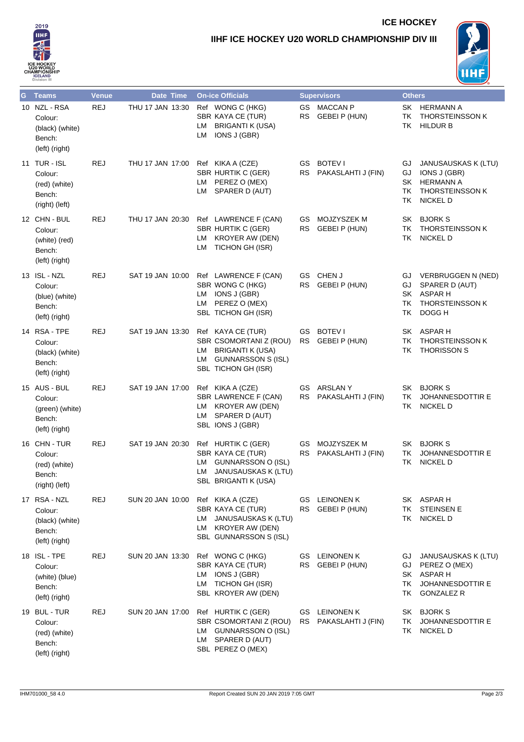

## **IIHF ICE HOCKEY U20 WORLD CHAMPIONSHIP DIV III**



**ICE HOCKEY**

| $\mathbf G$ | <b>Teams</b>                                                           | <b>Venue</b> | Date Time        | <b>On-ice Officials</b>                                                                                                         |                  | <b>Supervisors</b>                           | <b>Others</b>                |                                                                                                      |
|-------------|------------------------------------------------------------------------|--------------|------------------|---------------------------------------------------------------------------------------------------------------------------------|------------------|----------------------------------------------|------------------------------|------------------------------------------------------------------------------------------------------|
|             | 10 NZL - RSA<br>Colour:<br>(black) (white)<br>Bench:<br>(left) (right) | <b>REJ</b>   | THU 17 JAN 13:30 | Ref WONG C (HKG)<br>SBR KAYA CE (TUR)<br><b>BRIGANTI K (USA)</b><br>LM<br>IONS J (GBR)<br>LM                                    | RS.              | GS MACCAN P<br>GEBEI P (HUN)                 | SK<br>TK<br>ΤK               | <b>HERMANN A</b><br><b>THORSTEINSSON K</b><br><b>HILDUR B</b>                                        |
|             | 11 TUR - ISL<br>Colour:<br>(red) (white)<br>Bench:<br>(right) (left)   | <b>REJ</b>   | THU 17 JAN 17:00 | Ref KIKA A (CZE)<br><b>SBR HURTIK C (GER)</b><br>LM PEREZ O (MEX)<br>LM SPARER D (AUT)                                          | GS.<br><b>RS</b> | <b>BOTEV I</b><br>PAKASLAHTI J (FIN)         | GJ<br>GJ<br>SK<br>TK<br>TK   | JANUSAUSKAS K (LTU)<br>IONS J (GBR)<br><b>HERMANN A</b><br><b>THORSTEINSSON K</b><br><b>NICKEL D</b> |
|             | 12 CHN - BUL<br>Colour:<br>(white) (red)<br>Bench:<br>(left) (right)   | <b>REJ</b>   | THU 17 JAN 20:30 | Ref LAWRENCE F (CAN)<br>SBR HURTIK C (GER)<br>LM KROYER AW (DEN)<br>TICHON GH (ISR)<br>LM                                       | GS<br>RS I       | MOJZYSZEK M<br><b>GEBEI P (HUN)</b>          | SK<br>ΤK<br>TK               | <b>BJORK S</b><br><b>THORSTEINSSON K</b><br><b>NICKEL D</b>                                          |
|             | 13 ISL - NZL<br>Colour:<br>(blue) (white)<br>Bench:<br>(left) (right)  | <b>REJ</b>   | SAT 19 JAN 10:00 | Ref LAWRENCE F (CAN)<br>SBR WONG C (HKG)<br>IONS J (GBR)<br>LM<br>PEREZ O (MEX)<br>LM<br>SBL TICHON GH (ISR)                    | GS<br><b>RS</b>  | CHEN J<br><b>GEBEI P (HUN)</b>               | GJ.<br>GJ<br>SK.<br>TK<br>ΤK | VERBRUGGEN N (NED)<br>SPARER D (AUT)<br>ASPAR H<br><b>THORSTEINSSON K</b><br>DOGG H                  |
|             | 14 RSA - TPE<br>Colour:<br>(black) (white)<br>Bench:<br>(left) (right) | <b>REJ</b>   | SAT 19 JAN 13:30 | Ref KAYA CE (TUR)<br>SBR CSOMORTANI Z (ROU)<br><b>BRIGANTI K (USA)</b><br>LM<br>LM GUNNARSSON S (ISL)<br>SBL TICHON GH (ISR)    | GS.              | <b>BOTEV I</b><br>RS GEBEI P (HUN)           | SK<br>ΤK<br>ΤK               | ASPAR H<br><b>THORSTEINSSON K</b><br><b>THORISSON S</b>                                              |
|             | 15 AUS - BUL<br>Colour:<br>(green) (white)<br>Bench:<br>(left) (right) | <b>REJ</b>   | SAT 19 JAN 17:00 | Ref KIKA A (CZE)<br>SBR LAWRENCE F (CAN)<br>LM KROYER AW (DEN)<br>LM SPARER D (AUT)<br>SBL IONS J (GBR)                         | <b>RS</b>        | GS ARSLANY<br>PAKASLAHTI J (FIN)             | SK<br>ΤK<br>ТK               | <b>BJORK S</b><br><b>JOHANNESDOTTIR E</b><br><b>NICKEL D</b>                                         |
|             | 16 CHN - TUR<br>Colour:<br>(red) (white)<br>Bench:<br>(right) (left)   | REJ          | SAT 19 JAN 20:30 | Ref HURTIK C (GER)<br>SBR KAYA CE (TUR)<br><b>GUNNARSSON O (ISL)</b><br>LM<br>JANUSAUSKAS K (LTU)<br>LM<br>SBL BRIGANTI K (USA) | GS<br><b>RS</b>  | MOJZYSZEK M<br>PAKASLAHTI J (FIN)            | SK<br>ТK<br>TK               | <b>BJORK S</b><br><b>JOHANNESDOTTIR E</b><br><b>NICKEL D</b>                                         |
|             | 17 RSA - NZL<br>Colour:<br>(black) (white)<br>Bench:<br>(left) (right) | <b>REJ</b>   | SUN 20 JAN 10:00 | Ref KIKA A (CZE)<br>SBR KAYA CE (TUR)<br>JANUSAUSKAS K (LTU)<br>LM<br><b>KROYER AW (DEN)</b><br>LM<br>SBL GUNNARSSON S (ISL)    | <b>RS</b>        | GS LEINONEN K<br><b>GEBEI P (HUN)</b>        | ТK<br>TK                     | SK ASPAR H<br><b>STEINSEN E</b><br><b>NICKEL D</b>                                                   |
|             | 18 ISL-TPE<br>Colour:<br>(white) (blue)<br>Bench:<br>(left) (right)    | REJ          | SUN 20 JAN 13:30 | Ref WONG C (HKG)<br>SBR KAYA CE (TUR)<br>IONS J (GBR)<br>LM<br>TICHON GH (ISR)<br>LM<br>SBL KROYER AW (DEN)                     | RS               | <b>GS</b> LEINONEN K<br><b>GEBEI P (HUN)</b> | GJ<br>GJ<br>SK<br>TK<br>ΤK   | JANUSAUSKAS K (LTU)<br>PEREZ O (MEX)<br>ASPAR H<br><b>JOHANNESDOTTIR E</b><br><b>GONZALEZ R</b>      |
|             | 19 BUL - TUR<br>Colour:<br>(red) (white)<br>Bench:<br>(left) (right)   | <b>REJ</b>   | SUN 20 JAN 17:00 | Ref HURTIK C (GER)<br>SBR CSOMORTANI Z (ROU)<br>LM GUNNARSSON O (ISL)<br>LM SPARER D (AUT)<br>SBL PEREZ O (MEX)                 | GS<br>RS         | <b>LEINONEN K</b><br>PAKASLAHTI J (FIN)      | SK<br>ТK<br>ΤK               | <b>BJORK S</b><br><b>JOHANNESDOTTIR E</b><br><b>NICKEL D</b>                                         |